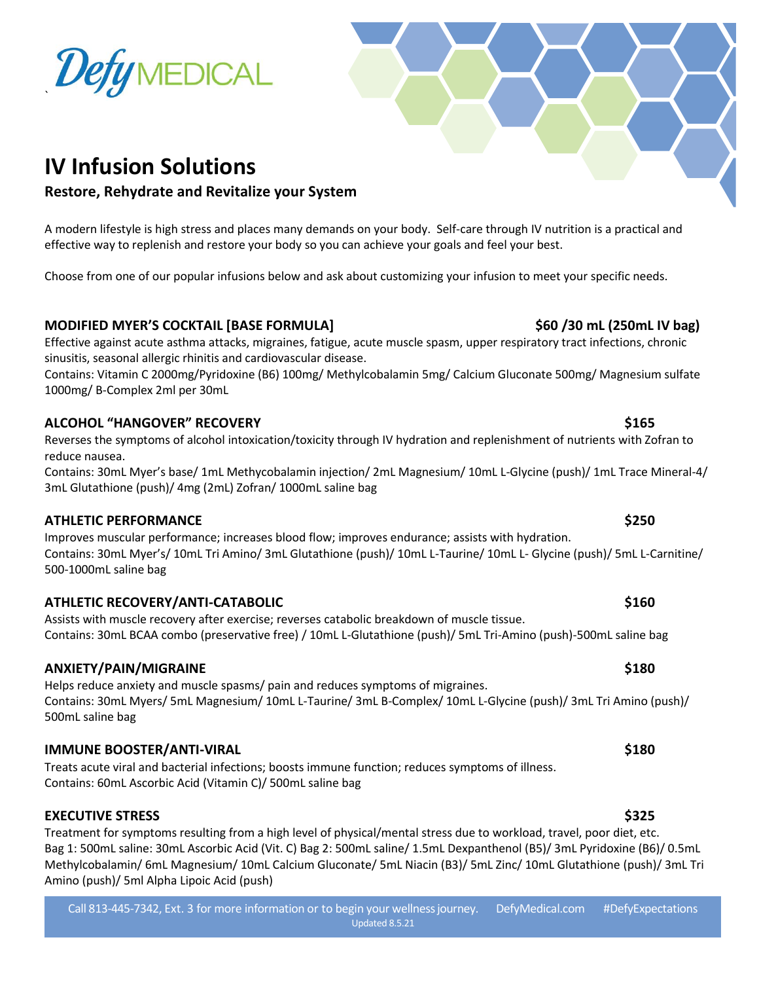## **IV Infusion Solutions**

## **Restore, Rehydrate and Revitalize your System**

A modern lifestyle is high stress and places many demands on your body. Self-care through IV nutrition is a practical and effective way to replenish and restore your body so you can achieve your goals and feel your best.

Choose from one of our popular infusions below and ask about customizing your infusion to meet your specific needs.

#### **MODIFIED MYER'S COCKTAIL [BASE FORMULA] \$60 /30 mL (250mL IV bag)**

Effective against acute asthma attacks, migraines, fatigue, acute muscle spasm, upper respiratory tract infections, chronic sinusitis, seasonal allergic rhinitis and cardiovascular disease.

Contains: Vitamin C 2000mg/Pyridoxine (B6) 100mg/ Methylcobalamin 5mg/ Calcium Gluconate 500mg/ Magnesium sulfate 1000mg/ B-Complex 2ml per 30mL

#### **ALCOHOL "HANGOVER" RECOVERY \$165**

Reverses the symptoms of alcohol intoxication/toxicity through IV hydration and replenishment of nutrients with Zofran to reduce nausea.

Contains: 30mL Myer's base/ 1mL Methycobalamin injection/ 2mL Magnesium/ 10mL L-Glycine (push)/ 1mL Trace Mineral-4/ 3mL Glutathione (push)/ 4mg (2mL) Zofran/ 1000mL saline bag

#### **ATHLETIC PERFORMANCE \$250**

Improves muscular performance; increases blood flow; improves endurance; assists with hydration. Contains: 30mL Myer's/ 10mL Tri Amino/ 3mL Glutathione (push)/ 10mL L-Taurine/ 10mL L- Glycine (push)/ 5mL L-Carnitine/ 500-1000mL saline bag

#### **ATHLETIC RECOVERY/ANTI-CATABOLIC \$160**

Assists with muscle recovery after exercise; reverses catabolic breakdown of muscle tissue. Contains: 30mL BCAA combo (preservative free) / 10mL L-Glutathione (push)/ 5mL Tri-Amino (push)-500mL saline bag

#### **ANXIETY/PAIN/MIGRAINE \$180**

Helps reduce anxiety and muscle spasms/ pain and reduces symptoms of migraines. Contains: 30mL Myers/ 5mL Magnesium/ 10mL L-Taurine/ 3mL B-Complex/ 10mL L-Glycine (push)/ 3mL Tri Amino (push)/ 500mL saline bag

#### **IMMUNE BOOSTER/ANTI-VIRAL \$180**

Treats acute viral and bacterial infections; boosts immune function; reduces symptoms of illness. Contains: 60mL Ascorbic Acid (Vitamin C)/ 500mL saline bag

#### **EXECUTIVE STRESS \$325**

Treatment for symptoms resulting from a high level of physical/mental stress due to workload, travel, poor diet, etc. Bag 1: 500mL saline: 30mL Ascorbic Acid (Vit. C) Bag 2: 500mL saline/ 1.5mL Dexpanthenol (B5)/ 3mL Pyridoxine (B6)/ 0.5mL Methylcobalamin/ 6mL Magnesium/ 10mL Calcium Gluconate/ 5mL Niacin (B3)/ 5mL Zinc/ 10mL Glutathione (push)/ 3mL Tri Amino (push)/ 5ml Alpha Lipoic Acid (push)

#### Call 813-445-7342, Ext. 3 for more information or to begin your wellnessjourney. DefyMedical.com #DefyExpectations Updated 8.5.21



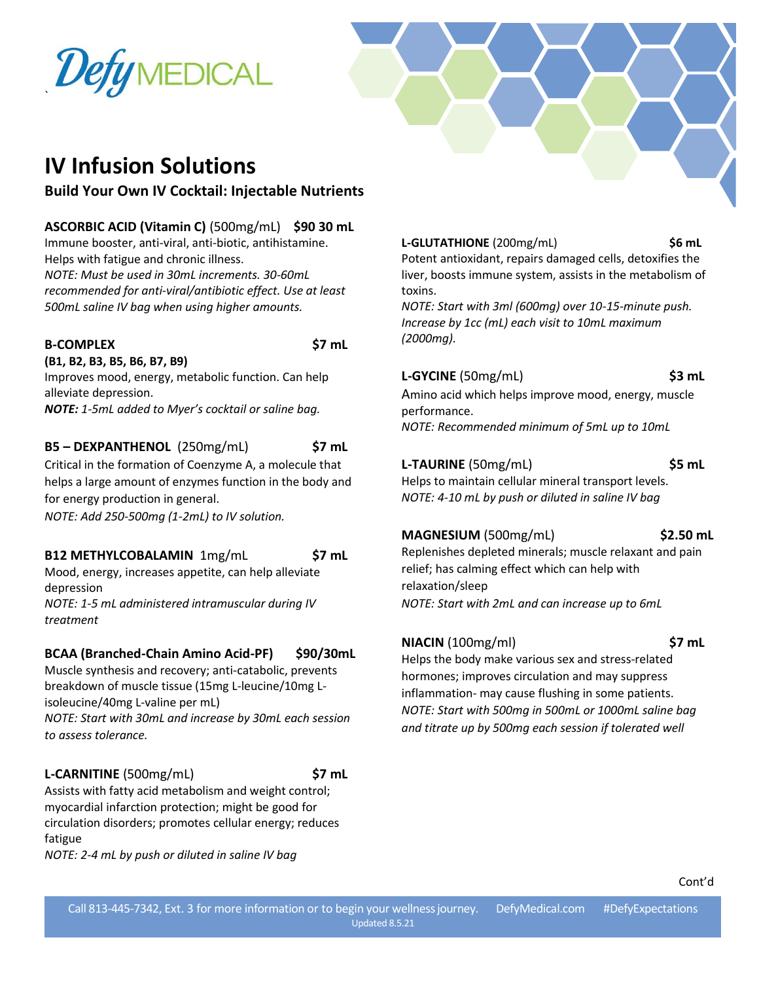# DefyMEDICAL



## **IV Infusion Solutions**

## **Build Your Own IV Cocktail: Injectable Nutrients**

**ASCORBIC ACID (Vitamin C)** (500mg/mL) **\$90 30 mL** Immune booster, anti-viral, anti-biotic, antihistamine.

Helps with fatigue and chronic illness. *NOTE: Must be used in 30mL increments. 30-60mL recommended for anti-viral/antibiotic effect. Use at least 500mL saline IV bag when using higher amounts.*

#### **B-COMPLEX \$7 mL**

`

**(B1, B2, B3, B5, B6, B7, B9)** Improves mood, energy, metabolic function. Can help alleviate depression.

*NOTE: 1-5mL added to Myer's cocktail or saline bag.*

### **B5 – DEXPANTHENOL** (250mg/mL) **\$7 mL**

Critical in the formation of Coenzyme A, a molecule that helps a large amount of enzymes function in the body and for energy production in general.

*NOTE: Add 250-500mg (1-2mL) to IV solution.*

## **B12 METHYLCOBALAMIN** 1mg/mL **\$7 mL**

Mood, energy, increases appetite, can help alleviate depression

*NOTE: 1-5 mL administered intramuscular during IV treatment*

## **BCAA (Branched-Chain Amino Acid-PF) \$90/30mL**

Muscle synthesis and recovery; anti-catabolic, prevents breakdown of muscle tissue (15mg L-leucine/10mg Lisoleucine/40mg L-valine per mL) *NOTE: Start with 30mL and increase by 30mL each session to assess tolerance.*

#### **L-CARNITINE** (500mg/mL) **\$7 mL**

Assists with fatty acid metabolism and weight control; myocardial infarction protection; might be good for circulation disorders; promotes cellular energy; reduces fatigue

*NOTE: 2-4 mL by push or diluted in saline IV bag*

**L-GLUTATHIONE** (200mg/mL) **\$6 mL**

Potent antioxidant, repairs damaged cells, detoxifies the liver, boosts immune system, assists in the metabolism of toxins.

*NOTE: Start with 3ml (600mg) over 10-15-minute push. Increase by 1cc (mL) each visit to 10mL maximum (2000mg).*

### **L-GYCINE** (50mg/mL) **\$3 mL**

Amino acid which helps improve mood, energy, muscle performance. *NOTE: Recommended minimum of 5mL up to 10mL*

#### **L-TAURINE** (50mg/mL) **\$5 mL**

Helps to maintain cellular mineral transport levels. *NOTE: 4-10 mL by push or diluted in saline IV bag*

## **MAGNESIUM** (500mg/mL) **\$2.50 mL**

Replenishes depleted minerals; muscle relaxant and pain relief; has calming effect which can help with relaxation/sleep *NOTE: Start with 2mL and can increase up to 6mL*

#### **NIACIN** (100mg/ml) **\$7 mL**

Helps the body make various sex and stress-related hormones; improves circulation and may suppress inflammation- may cause flushing in some patients. *NOTE: Start with 500mg in 500mL or 1000mL saline bag and titrate up by 500mg each session if tolerated well*

Cont'd